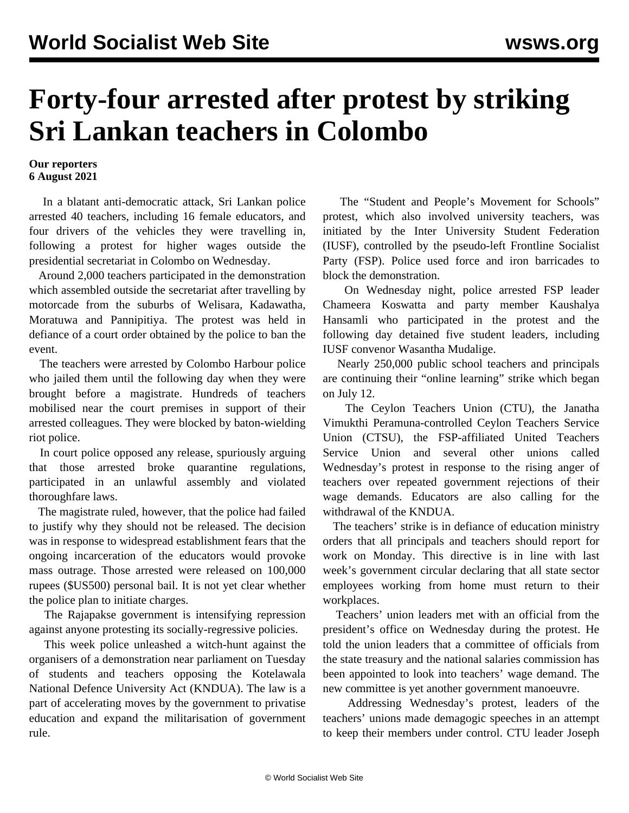## **Forty-four arrested after protest by striking Sri Lankan teachers in Colombo**

## **Our reporters 6 August 2021**

 In a blatant anti-democratic attack, Sri Lankan police arrested 40 teachers, including 16 female educators, and four drivers of the vehicles they were travelling in, following a protest for higher wages outside the presidential secretariat in Colombo on Wednesday.

 Around 2,000 teachers participated in the demonstration which assembled outside the secretariat after travelling by motorcade from the suburbs of Welisara, Kadawatha, Moratuwa and Pannipitiya. The protest was held in defiance of a court order obtained by the police to ban the event.

 The teachers were arrested by Colombo Harbour police who jailed them until the following day when they were brought before a magistrate. Hundreds of teachers mobilised near the court premises in support of their arrested colleagues. They were blocked by baton-wielding riot police.

 In court police opposed any release, spuriously arguing that those arrested broke quarantine regulations, participated in an unlawful assembly and violated thoroughfare laws.

 The magistrate ruled, however, that the police had failed to justify why they should not be released. The decision was in response to widespread establishment fears that the ongoing incarceration of the educators would provoke mass outrage. Those arrested were released on 100,000 rupees (\$US500) personal bail. It is not yet clear whether the police plan to initiate charges.

 The Rajapakse government is intensifying repression against anyone protesting its socially-regressive policies.

 This week police unleashed a witch-hunt against the organisers of a demonstration near parliament on Tuesday of students and teachers opposing the Kotelawala National Defence University Act (KNDUA). The law is a part of accelerating moves by the government to privatise education and expand the militarisation of government rule.

 The "Student and People's Movement for Schools" protest, which also involved university teachers, was initiated by the Inter University Student Federation (IUSF), controlled by the pseudo-left Frontline Socialist Party (FSP). Police used force and iron barricades to block the demonstration.

 On Wednesday night, police arrested FSP leader Chameera Koswatta and party member Kaushalya Hansamli who participated in the protest and the following day detained five student leaders, including IUSF convenor Wasantha Mudalige.

 Nearly 250,000 public school teachers and principals are continuing their "online learning" strike which began on July 12.

 The Ceylon Teachers Union (CTU), the Janatha Vimukthi Peramuna-controlled Ceylon Teachers Service Union (CTSU), the FSP-affiliated United Teachers Service Union and several other unions called Wednesday's protest in response to the rising anger of teachers over repeated government rejections of their wage demands. Educators are also calling for the withdrawal of the KNDUA.

 The teachers' strike is in defiance of education ministry orders that all principals and teachers should report for work on Monday. This directive is in line with last week's government circular declaring that all state sector employees working from home must return to their workplaces.

 Teachers' union leaders met with an official from the president's office on Wednesday during the protest. He told the union leaders that a committee of officials from the state treasury and the national salaries commission has been appointed to look into teachers' wage demand. The new committee is yet another government manoeuvre.

 Addressing Wednesday's protest, leaders of the teachers' unions made demagogic speeches in an attempt to keep their members under control. CTU leader Joseph